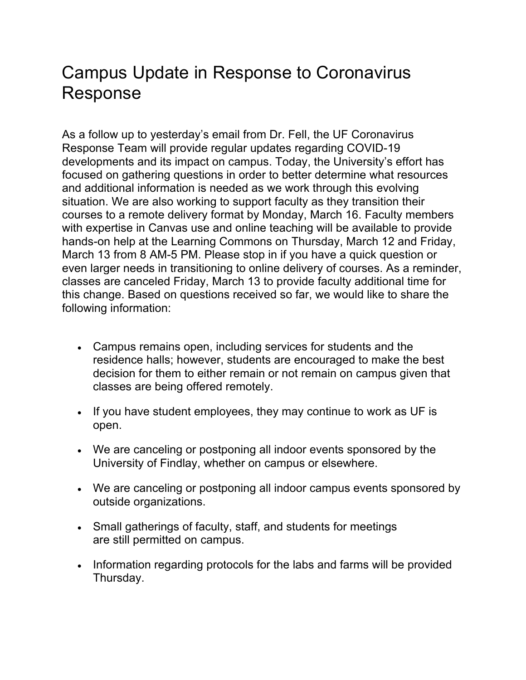## Campus Update in Response to Coronavirus Response

As a follow up to yesterday's email from Dr. Fell, the UF Coronavirus Response Team will provide regular updates regarding COVID-19 developments and its impact on campus. Today, the University's effort has focused on gathering questions in order to better determine what resources and additional information is needed as we work through this evolving situation. We are also working to support faculty as they transition their courses to a remote delivery format by Monday, March 16. Faculty members with expertise in Canvas use and online teaching will be available to provide hands-on help at the Learning Commons on Thursday, March 12 and Friday, March 13 from 8 AM-5 PM. Please stop in if you have a quick question or even larger needs in transitioning to online delivery of courses. As a reminder, classes are canceled Friday, March 13 to provide faculty additional time for this change. Based on questions received so far, we would like to share the following information:

- Campus remains open, including services for students and the residence halls; however, students are encouraged to make the best decision for them to either remain or not remain on campus given that classes are being offered remotely.
- If you have student employees, they may continue to work as UF is open.
- We are canceling or postponing all indoor events sponsored by the University of Findlay, whether on campus or elsewhere.
- We are canceling or postponing all indoor campus events sponsored by outside organizations.
- Small gatherings of faculty, staff, and students for meetings are still permitted on campus.
- Information regarding protocols for the labs and farms will be provided Thursday.